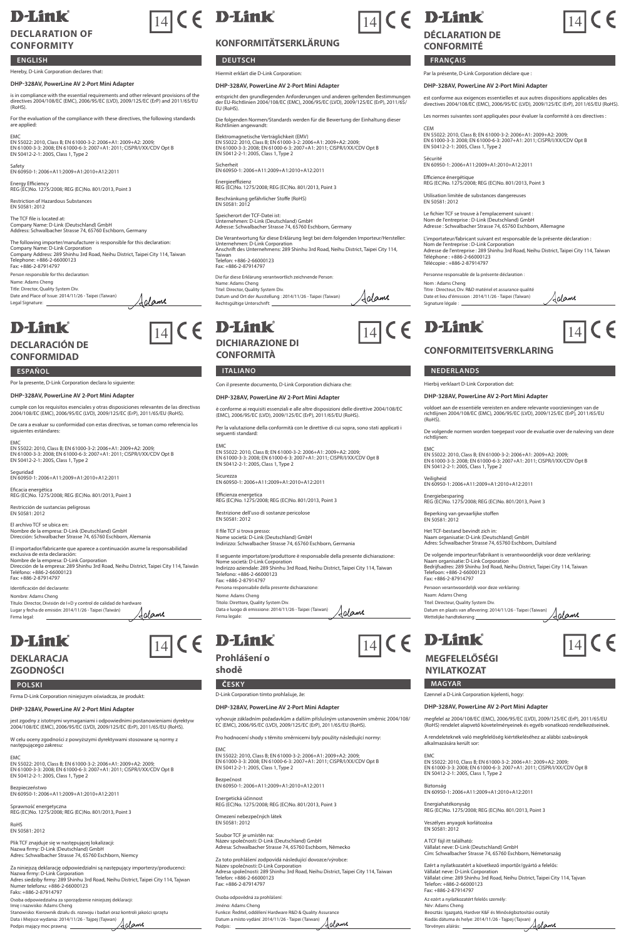## **D-Link**

### **DECLARATION OF CONFORMITY**

### **ENGLISH**

### Hereby, D-Link Corporation declares that:

### **DHP-328AV, PowerLine AV 2-Port Mini Adapter**

is in compliance with the essential requirements and other relevant provisions of the directives 2004/108/EC (EMC), 2006/95/EC (LVD), 2009/125/EC (ErP) and 2011/65/EU (RoHS).

For the evaluation of the compliance with these directives, the following standards are applied:

EMC<br>EN 55022: 2010, Class B; EN 61000-3-2: 2006+A1: 2009+A2: 2009;<br>EN 51000-3-3: 2008; EN 61000-6-3: 2007+A1: 2011; CISPR/I/XX/CDV Opt B<br>EN 50412-2-1: 2005, Class 1, Type 2

Safety EN 60950-1: 2006+A11:2009+A1:2010+A12:2011

Energy Efficiency REG (EC)No. 1275/2008; REG (EC)No. 801/2013, Point 3

Restriction of Hazardous Substances EN 50581: 2012 The TCF file is located at: Company Name: D-Link (Deutschland) GmbH Address: Schwalbacher Strasse 74, 65760 Eschborn, Germany

The following importer/manufacturer is responsible for this declaration:<br>Company Name: D-Link Corporation<br>Company Address: 289 Shinhu 3rd Road, Neihu District, Taipei City 114, Taiwan<br>Tele: 4886-2-87914797<br>Fax: +886-2-8791

Jalame

Person responsible for this declaration: Name: Adams Cheng Title: Director, Quality System Div. Date and Place of Issue: 2014/11/26 - Taipei (Taiwan)

Legal Signature:

## **D-Link**

### **DECLARACIÓN DE CONFORMIDAD**

#### **ESPAÑOL ITALIANO NEDERLANDS**

Por la presente, D-Link Corporation declara lo siguiente:

### **DHP-328AV, PowerLine AV 2-Port Mini Adapter**

cumple con los requisitos esenciales y otras disposiciones relevantes de las directivas 2004/108/EC (EMC), 2006/95/EC (LVD), 2009/125/EC (ErP), 2011/65/EU (RoHS).

De cara a evaluar su conformidad con estas directivas, se toman como referencia los svalual s<br>: estánda

EMC EN 55022: 2010, Class B; EN 61000-3-2: 2006+A1: 2009+A2: 2009;<br>EN 61000-3-3: 2008; EN 61000-6-3: 2007+A1: 2011; CISPR/I/XX/CDV Opt B<br>EN 50412-2-1: 2005, Class 1, Type 2

Seguridad EN 60950-1: 2006+A11:2009+A1:2010+A12:2011

Eficacia energética REG (EC)No. 1275/2008; REG (EC)No. 801/2013, Point 3

Restricción de sustancias peligrosas EN 50581: 2012

El archivo TCF se ubica en: Nombre de la empresa: D-Link (Deutschland) GmbH Dirección: Schwalbacher Strasse 74, 65760 Eschborn, Alemania

El importador/fabricante que aparece a continuación asume la responsabilidad exclusiva de esta declaración: Nombre de la empresa: D-Link Corporation Dirección de la empresa: 289 Shinhu 3rd Road, Neihu District, Taipei City 114, Taiwán Teléfono: +886-2-66000123

Fax: +886-2-87914797 Identificación del declar Nombre: Adams Cheng Título: Director, División de I+D y control de calidad de hardware Lugar y fecha de emisión: 2014/11/26 - Taipei (Taiwán) Aalame

## **D-Link**

### **DEKLARACJA ZGODNOŚCI**

Firma legal:

Firma D-Link Corporation niniejszym oświadcza, że produkt:

### **DHP-328AV, PowerLine AV 2-Port Mini Adapter**

jest zgodny z istotnymi wymaganiami i odpowiednimi postanowieniami dyrektyw 2004/108/EC (EMC), 2006/95/EC (LVD), 2009/125/EC (ErP), 2011/65/EU (RoHS).

W celu oceny zgodności z powyższymi dyrektywami stosowane są normy z następującego zakresu:

EMC<br>EN 55022: 2010, Class B; EN 61000-3-2: 2006+A1: 2009+A2: 2009;<br>EN 50412-2-1: 2008; EN 61000-6-3: 2007+A1: 2011; CISPR/I/XX/CDV Opt B<br>EN 50412-2-1: 2005, Class 1, Type 2

Bezpieczeństwo EN 60950-1: 2006+A11:2009+A1:2010+A12:2011

Sprawność energetyczna REG (EC)No. 1275/2008; REG (EC)No. 801/2013, Point 3

RoHS EN 50581: 2012

Plik TCF znajduje się w następującej lokalizacji: Nazwa firmy: D-Link (Deutschland) GmbH Adres: Schwalbacher Strasse 74, 65760 Eschborn, Niemcy

Za niniejszą deklarację odpowiedzialni są następujący importerzy/producenci:<br>Nazwa firmy: D-Link Corporation<br>Adres siedziby firmy: 289 Shinhu 3rd Road, Neihu District, Taipei City 114, Tajwan<br>Numer telefonu: +886-2-6600012

Osoba odpowiedzialna za sporządzenie niniejszej deklaracji: Imię i nazwisko: Adams Cheng Stanowisko: Kierownik działu ds. rozwoju i badań oraz kontroli jakości sprzętu Data i Miejsce wydania: 2014/11/26 - Tajpej (Tajwan) Podpis mający moc prawną:

# $\boxed{14}$  (  $\in$  **D-Link**)

### **KONFORMITÄTSERKLÄRUNG**

**DEUTSCH FRANÇAIS** 

Hiermit erklärt die D-Link Corporation:

**DHP-328AV, PowerLine AV 2-Port Mini Adapter**

entspricht den grundlegenden Anforderungen und anderen geltenden Bestimmungen der EU-Richtlinien 2004/108/EC (EMC), 2006/95/EC (LVD), 2009/125/EC (ErP), 2011/65/ EU (RoHS).

Die folgenden Normen/Standards werden für die Bewertung der Einhaltung dieser Richtlinien angewandt:

Elektromagnetische Verträglichkeit (EMV)<br>EN 55022: 2010, Class B; EN 61000-3-2: 2006+A1: 2009+A2: 2009;<br>EN 61000-3-3: 2008; EN 61000-6-3: 2007+A1: 2011; CISPR/I/XX/CDV Opt B<br>EN 50412-2-1: 2005, Class 1, Type 2

Sicherheit EN 60950-1: 2006+A11:2009+A1:2010+A12:2011

Energieeffizienz REG (EC)No. 1275/2008; REG (EC)No. 801/2013, Point 3

Beschränkung gefährlicher Stoffe (RoHS) EN 50581: 2012 Speicherort der TCF-Datei ist:

Unternehmen: D-Link (Deutschland) GmbH Adresse: Schwalbacher Strasse 74, 65760 Eschborn, Germany

Die Verantwortung für diese Erklärung liegt bei dem folgenden Importeur/Hersteller: Unternehmen: D-Link Corporation Anschrift des Unternehmens: 289 Shinhu 3rd Road, Neihu District, Taipei City 114,

Taiwan Telefon: +886-2-66000123 Fax: +886-2-87914797

Die für diese Erklärung verantwortlich zeichnende Person: Name: Adams Cheng

Titel: Adams Crieng<br>Titel: Director, Quality System Div. Jalame Datum und Ort der Ausstellung : 2014/11/26 - Taipei (Taiwan) Rechtsgültige Unterschrift:

 $\frac{1}{14}$  (  $\in$  D-Link  $\frac{1}{14}$  (  $\in$  D-Link  $\frac{1}{14}$  (  $\in$ **DICHIARAZIONE DI CONFORMITÀ** 

Con il presente documento, D-Link Corporation dichiara che:

**DHP-328AV, PowerLine AV 2-Port Mini Adapter**

è conforme ai requisiti essenziali e alle altre disposizioni delle direttive 2004/108/EC (EMC), 2006/95/EC (LVD), 2009/125/EC (ErP), 2011/65/EU (RoHS).

Per la valutazione della conformità con le direttive di cui sopra, sono stati applicati i seguenti standard:

EMC EN 55022: 2010, Class B; EN 61000-3-2: 2006+A1: 2009+A2: 2009;<br>EN 61000-3-3: 2008; EN 61000-6-3: 2007+A1: 2011; CISPR/I/XX/CDV Opt B<br>EN 50412-2-1: 2005, Class 1, Type 2

Sicurezza EN 60950-1: 2006+A11:2009+A1:2010+A12:2011

Efficienza energetica REG (EC)No. 1275/2008; REG (EC)No. 801/2013, Point 3

Restrizione dell'uso di sostanze pericolose EN 50581: 2012

Il file TCF si trova presso: Nome società: D-Link (Deutschland) GmbH Indirizzo: Schwalbacher Strasse 74, 65760 Eschborn, Germania

Il seguente importatore/produttore è responsabile della presente dichiarazione: Nome società: D-Link Corporation Indirizzo aziendale: 289 Shinhu 3rd Road, Neihu District, Taipei City 114, Taiwan Telefono: +886-2-66000123 Fax: +886-2-87914797

Persona responsabile della presente dichia Nome: Adams Cheng

Titolo: Direttore, Quality System Div. Data e luogo di emissione: 2014/11/26 - Taipei (Taiwan) Firma legale: Adame

## $\boxed{14}$  (  $\in$  **D-Link**  $\boxed{14}$  (  $\in$  **D-Link**  $\boxed{14}$

**Prohlášení o shodě**

**POLSKI ČESKY MAGYAR** D-Link Corporation tímto prohlašuje, že:

#### **DHP-328AV, PowerLine AV 2-Port Mini Adapter**

vyhovuje základním požadavkům a dalším příslušným ustanovením směrnic 2004/108/ EC (EMC), 2006/95/EC (LVD), 2009/125/EC (ErP), 2011/65/EU (RoHS).

Pro hodnocení shody s těmito směrnicemi byly použity následující normy: EMC

EN 55022: 2010, Class B; EN 61000-3-2: 2006+A1: 2009+A2: 2009; EN 61000-3-3: 2008; EN 61000-6-3: 2007+A1: 2011; CISPR/I/XX/CDV Opt B EN 50412-2-1: 2005, Class 1, Type 2

Bezpečnost EN 60950-1: 2006+A11:2009+A1:2010+A12:2011

Energetická účinnost REG (EC)No. 1275/2008; REG (EC)No. 801/2013, Point 3

Omezení nebezpečných látek EN 50581: 2012

Soubor TCF je umístěn n

Název společnosti: D-Link (Deutschland) GmbH Adresa: Schwalbacher Strasse 74, 65760 Eschborn, Německo

Za toto prohlášení zodpovídá následující dovozce/výrobce: Název společnosti: D-Link Corporation Adresa společnosti: 289 Shinhu 3rd Road, Neihu District, Taipei City 114, Taiwan Telefon: +886-2-66000123 Fax: +886-2-87914797

Osoba odpovědná za prohlášení: Jméno: Adams Cheng<br>Funkce: Ředitel, oddělení Hardware R&D & Quality Assurance Funkce: Ředitel, oddělení Hardware R&D & Quality Assurance Datum a místo vydání: 2014/11/26 - Taipei (Taiwan) Podpis:

 $\overline{14}$ CE





### **CONFORMITÉ**

Par la présente, D-Link Corporation déclare que :

#### **DHP-328AV, PowerLine AV 2-Port Mini Adapter**

est conforme aux exigences essentielles et aux autres dispositions applicables des directives 2004/108/EC (EMC), 2006/95/EC (LVD), 2009/125/EC (ErP), 2011/65/EU (RoHS).

Les normes suivantes sont appliquées pour évaluer la conformité à ces directives :

CEM EN 55022: 2010, Class B; EN 61000-3-2: 2006+A1: 2009+A2: 2009; EN 61000-3-3: 2008; EN 61000-6-3: 2007+A1: 2011; CISPR/I/XX/CDV Opt B EN 50412-2-1: 2005, Class 1, Type 2

Sécurité EN 60950-1: 2006+A11:2009+A1:2010+A12:2011

Efficience énergétique REG (EC)No. 1275/2008; REG (EC)No. 801/2013, Point 3

Le fichier TCF se trouve à l'emplacement suivant : Nom de l'entreprise : D-Link (Deutschland) GmbH Adresse : Schwalbacher Strasse 74, 65760 Eschborn, Allemagne

L'importateur/fabricant suivant est responsable de la présente déclaration :<br>Nom de l'entreprise : D-Link Corporation<br>Adresse de l'entreprise : 289 Shinhu 3rd Road, Neihu District, Taipei City 114, Taïwar<br>Téléchone : +886-

Aalame

<u>Adame</u>

voldoet aan de essentiële vereisten en andere relevante voorzieningen van de richtlijnen 2004/108/EC (EMC), 2006/95/EC (LVD), 2009/125/EC (ErP), 2011/65/EU (RoHS). De volgende normen worden toegepast voor de evaluatie over de naleving van deze richtlijnen:

EMC EN 55022: 2010, Class B; EN 61000-3-2: 2006+A1: 2009+A2: 2009; EN 61000-3-3: 2008; EN 61000-6-3: 2007+A1: 2011; CISPR/I/XX/CDV Opt B EN 50412-2-1: 2005, Class 1, Type 2

De volgende importeur/fabrikant is verantwoordelijk voor deze verklaring<br>Naam organisatie: D-Link Corporation<br>Bedrijfsadres: 289 Shinhu 3rd Road, Neihu District, Taipei City 114, Taiwan<br>Telefoon: +886-2-650000123<br>Fax: +886

megfelel az 2004/108/EC (EMC), 2006/95/EC (LVD), 2009/125/EC (ErP), 2011/65/EU (RoHS) rendelet alapvető követelményeinek és egyéb vonatkozó rendelkezéseinek. A rendeleteknek való megfelelőség kiértékeléséhez az alábbi szabványok

EN 55022: 2010, Class B; EN 61000-3-2: 2006+A1: 2009+A2: 2009;<br>EN 61000-3-3: 2008; EN 61000-6-3: 2007+A1: 2011; CISPR/I/XX/CDV Opt E<br>EN 50412-2-1: 2005, Class 1, Type 2

Utilisation limitée de substances dangereuses EN 50581: 2012

Personne responsable de la présente déclaration :

Titre : Directeur, Div. R&D matériel et assurance qualité Date et lieu d'émission : 2014/11/26 - Taipei (Taïwan) Signature légale :

Nom : Adams Cheng

Hierbij verklaart D-Link Corporation dat: **DHP-328AV, PowerLine AV 2-Port Mini Adapter**

**CONFORMITEITSVERKLARING**

Persoon verantwoordelijk voor deze verklaring:

Datum en plaats van aflevering: 2014/11/26 - Taipei (Taiwan) Wettelijke handtekening:

Naam: Adams Cheng Titel: Directeur, Quality System Div.

**MEGFELELŐSÉGI NYILATKOZAT**

alkalmazására került sor:

EMC

Ezennel a D-Link Corporation kijelenti, hogy: **DHP-328AV, PowerLine AV 2-Port Mini Adapter** 

Biztonság EN 60950-1: 2006+A11:2009+A1:2010+A12:2011 Energiahatékonyság REG (EC)No. 1275/2008; REG (EC)No. 801/2013, Point 3

Az ezért a nyilatkozatért felelős személy:

-reennamin eneng<br>Beosztás: Igazgató, Hardver K&F és Minőségbiztosítási osztály<br>Kiadás dátuma és helve: 2014/11/26 - Taipei (Taivan) Kiadás dátuma és helye: 2014/11/26 - Tajpej (Tajvan) Törvényes aláírás:

Fax: +886-2-87914797

Név: Adams Cheng

Veszélyes anyagok korlátozása EN 50581: 2012 A TCF fájl itt található: Vállalat neve: D-Link (Deutschland) GmbH Cím: Schwalbacher Strasse 74, 65760 Eschborn, Németország Ezért a nyilatkozatért a következő importőr/gyártó a felelős: Vállalat neve: D-Link Corporation Vállalat címe: 289 Shinhu 3rd Road, Neihu District, Taipei City 114, Tajvan Telefon: +886-2-66000123

Beperking van gevaarlijke stoffen EN 50581: 2012 Het TCF-bestand bevindt zich in:<br>Naam organisatie: D-Link (Deutschland) GmbH Naam organisatie: D-Link (Deutschland) GmbH Adres: Schwalbacher Strasse 74, 65760 Eschborn, Duitsland

Veiligheid EN 60950-1: 2006+A11:2009+A1:2010+A12:2011 Energiebesparing REG (EC)No. 1275/2008; REG (EC)No. 801/2013, Point 3